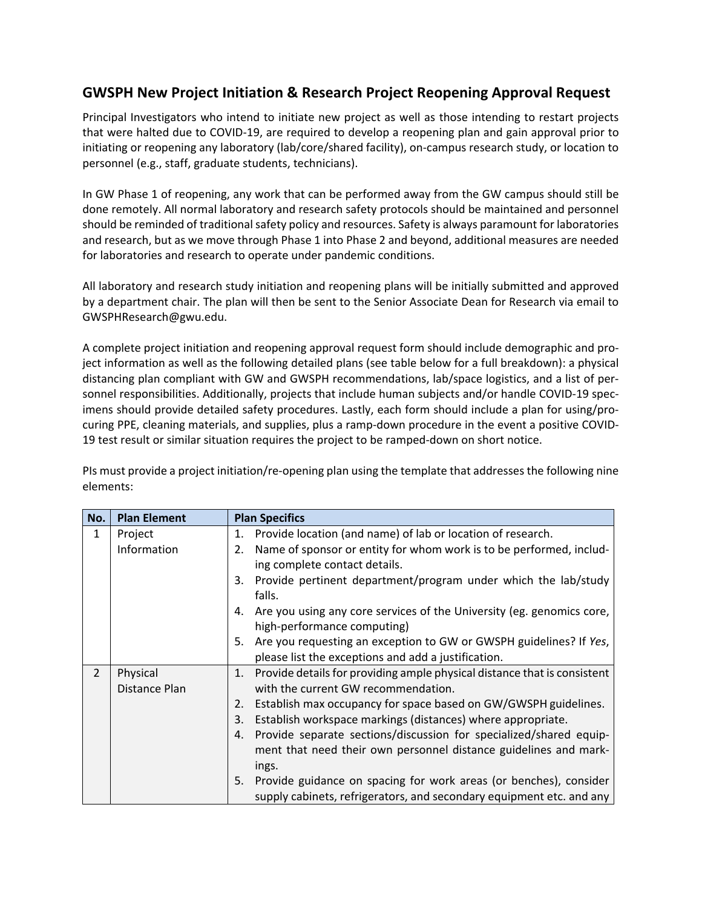## **GWSPH New Project Initiation & Research Project Reopening Approval Request**

Principal Investigators who intend to initiate new project as well as those intending to restart projects that were halted due to COVID‐19, are required to develop a reopening plan and gain approval prior to initiating or reopening any laboratory (lab/core/shared facility), on‐campus research study, or location to personnel (e.g., staff, graduate students, technicians).

In GW Phase 1 of reopening, any work that can be performed away from the GW campus should still be done remotely. All normal laboratory and research safety protocols should be maintained and personnel should be reminded of traditional safety policy and resources. Safety is always paramount for laboratories and research, but as we move through Phase 1 into Phase 2 and beyond, additional measures are needed for laboratories and research to operate under pandemic conditions.

All laboratory and research study initiation and reopening plans will be initially submitted and approved by a department chair. The plan will then be sent to the Senior Associate Dean for Research via email to GWSPHResearch@gwu.edu.

A complete project initiation and reopening approval request form should include demographic and pro‐ ject information as well as the following detailed plans (see table below for a full breakdown): a physical distancing plan compliant with GW and GWSPH recommendations, lab/space logistics, and a list of per‐ sonnel responsibilities. Additionally, projects that include human subjects and/or handle COVID-19 specimens should provide detailed safety procedures. Lastly, each form should include a plan for using/procuring PPE, cleaning materials, and supplies, plus a ramp‐down procedure in the event a positive COVID‐ 19 test result or similar situation requires the project to be ramped‐down on short notice.

PIs must provide a project initiation/re‐opening plan using the template that addresses the following nine elements:

| No.            | <b>Plan Element</b> | <b>Plan Specifics</b>                                                          |
|----------------|---------------------|--------------------------------------------------------------------------------|
| 1              | Project             | Provide location (and name) of lab or location of research.<br>1.              |
|                | Information         | Name of sponsor or entity for whom work is to be performed, includ-<br>2.      |
|                |                     | ing complete contact details.                                                  |
|                |                     | Provide pertinent department/program under which the lab/study<br>3.           |
|                |                     | falls.                                                                         |
|                |                     | Are you using any core services of the University (eg. genomics core,<br>4.    |
|                |                     | high-performance computing)                                                    |
|                |                     | Are you requesting an exception to GW or GWSPH guidelines? If Yes,<br>5.       |
|                |                     | please list the exceptions and add a justification.                            |
| $\overline{2}$ | Physical            | Provide details for providing ample physical distance that is consistent<br>1. |
|                | Distance Plan       | with the current GW recommendation.                                            |
|                |                     | Establish max occupancy for space based on GW/GWSPH guidelines.<br>2.          |
|                |                     | Establish workspace markings (distances) where appropriate.<br>3.              |
|                |                     | Provide separate sections/discussion for specialized/shared equip-<br>4.       |
|                |                     | ment that need their own personnel distance guidelines and mark-               |
|                |                     | ings.                                                                          |
|                |                     | Provide guidance on spacing for work areas (or benches), consider<br>5.        |
|                |                     | supply cabinets, refrigerators, and secondary equipment etc. and any           |